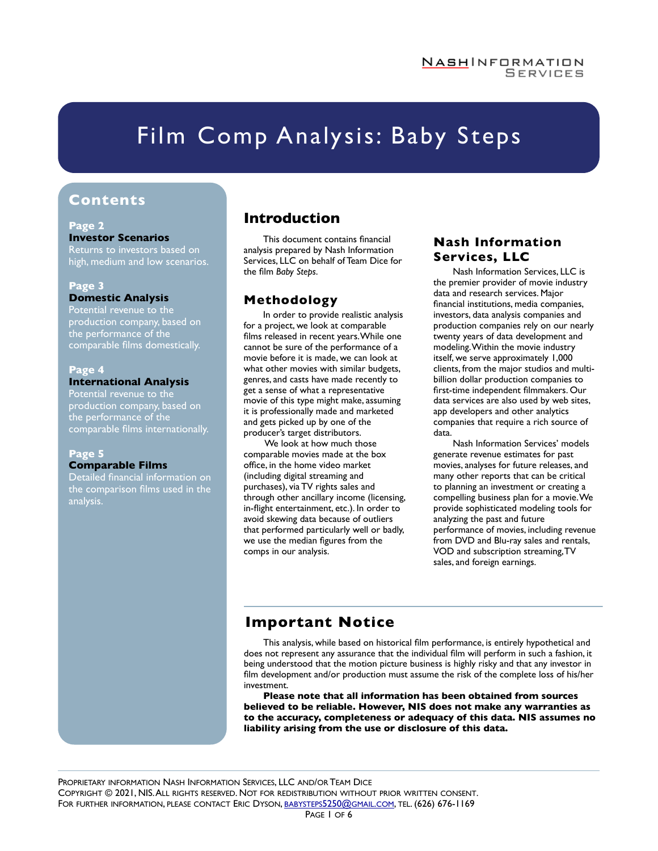# Film Comp Analysis: Baby Steps

### **Contents**

#### **Page 2 Investor Scenarios**

Returns to investors based on high, medium and low scenarios.

#### **Page 3 Domestic Analysis**

Potential revenue to the production company, based on the performance of the comparable films domestically.

#### **Page 4 International Analysis**

Potential revenue to the production company, based on the performance of the comparable films internationally.

#### **Page 5 Comparable Films**

Detailed financial information on the comparison films used in the analysis.

### **Introduction**

This document contains financial analysis prepared by Nash Information Services, LLC on behalf of Team Dice for the film *Baby Steps*.

### **Methodology**

In order to provide realistic analysis for a project, we look at comparable films released in recent years. While one cannot be sure of the performance of a movie before it is made, we can look at what other movies with similar budgets, genres, and casts have made recently to get a sense of what a representative movie of this type might make, assuming it is professionally made and marketed and gets picked up by one of the producer's target distributors.

 We look at how much those comparable movies made at the box office, in the home video market (including digital streaming and purchases), via TV rights sales and through other ancillary income (licensing, in-flight entertainment, etc.). In order to avoid skewing data because of outliers that performed particularly well or badly, we use the median figures from the comps in our analysis.

#### **Nash Information Services, LLC**

Nash Information Services, LLC is the premier provider of movie industry data and research services. Major financial institutions, media companies, investors, data analysis companies and production companies rely on our nearly twenty years of data development and modeling. Within the movie industry itself, we serve approximately 1,000 clients, from the major studios and multibillion dollar production companies to first-time independent filmmakers. Our data services are also used by web sites, app developers and other analytics companies that require a rich source of data.

Nash Information Services' models generate revenue estimates for past movies, analyses for future releases, and many other reports that can be critical to planning an investment or creating a compelling business plan for a movie. We provide sophisticated modeling tools for analyzing the past and future performance of movies, including revenue from DVD and Blu-ray sales and rentals, VOD and subscription streaming, TV sales, and foreign earnings.

### **Important Notice**

This analysis, while based on historical film performance, is entirely hypothetical and does not represent any assurance that the individual film will perform in such a fashion, it being understood that the motion picture business is highly risky and that any investor in film development and/or production must assume the risk of the complete loss of his/her investment.

**Please note that all information has been obtained from sources believed to be reliable. However, NIS does not make any warranties as to the accuracy, completeness or adequacy of this data. NIS assumes no liability arising from the use or disclosure of this data.**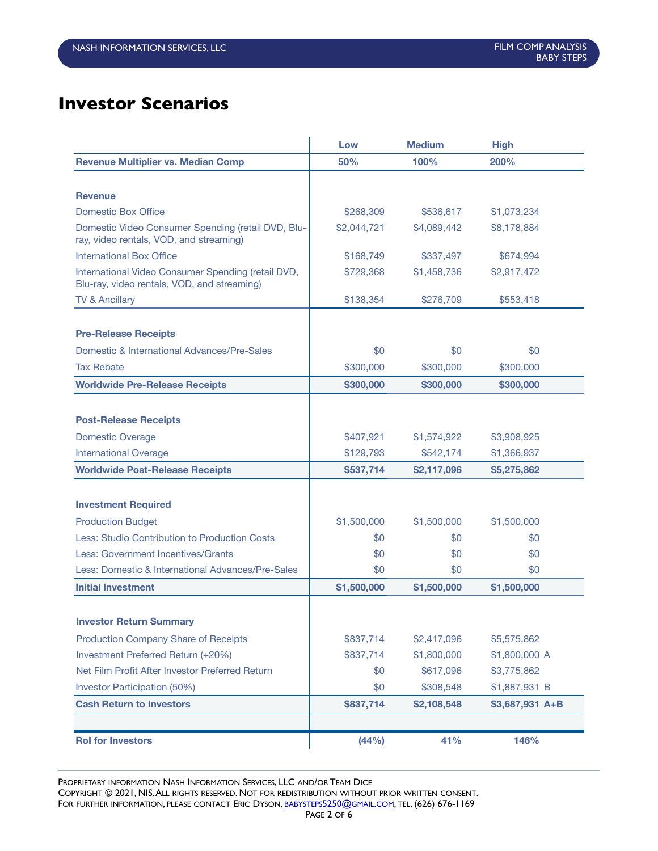# **Investor Scenarios**

|                                                                                                   | Low         | <b>Medium</b> | <b>High</b>     |
|---------------------------------------------------------------------------------------------------|-------------|---------------|-----------------|
| <b>Revenue Multiplier vs. Median Comp</b>                                                         | 50%         | 100%          | 200%            |
|                                                                                                   |             |               |                 |
| <b>Revenue</b>                                                                                    |             |               |                 |
| <b>Domestic Box Office</b>                                                                        | \$268,309   | \$536,617     | \$1,073,234     |
| Domestic Video Consumer Spending (retail DVD, Blu-<br>ray, video rentals, VOD, and streaming)     | \$2,044,721 | \$4,089,442   | \$8,178,884     |
| <b>International Box Office</b>                                                                   | \$168,749   | \$337,497     | \$674,994       |
| International Video Consumer Spending (retail DVD,<br>Blu-ray, video rentals, VOD, and streaming) | \$729,368   | \$1,458,736   | \$2,917,472     |
| <b>TV &amp; Ancillary</b>                                                                         | \$138,354   | \$276,709     | \$553,418       |
|                                                                                                   |             |               |                 |
| <b>Pre-Release Receipts</b>                                                                       |             |               |                 |
| Domestic & International Advances/Pre-Sales                                                       | \$0         | \$0           | \$0             |
| <b>Tax Rebate</b>                                                                                 | \$300,000   | \$300,000     | \$300,000       |
| <b>Worldwide Pre-Release Receipts</b>                                                             | \$300,000   | \$300,000     | \$300,000       |
|                                                                                                   |             |               |                 |
| <b>Post-Release Receipts</b>                                                                      |             |               |                 |
| <b>Domestic Overage</b>                                                                           | \$407,921   | \$1,574,922   | \$3,908,925     |
| <b>International Overage</b>                                                                      | \$129,793   | \$542,174     | \$1,366,937     |
| <b>Worldwide Post-Release Receipts</b>                                                            | \$537,714   | \$2,117,096   | \$5,275,862     |
|                                                                                                   |             |               |                 |
| <b>Investment Required</b>                                                                        |             |               |                 |
| <b>Production Budget</b>                                                                          | \$1,500,000 | \$1,500,000   | \$1,500,000     |
| Less: Studio Contribution to Production Costs                                                     | \$0<br>\$0  |               | \$0             |
| Less: Government Incentives/Grants                                                                | \$0         | \$0           | \$0             |
| Less: Domestic & International Advances/Pre-Sales                                                 | \$0         | \$0           | \$0             |
| <b>Initial Investment</b>                                                                         | \$1,500,000 | \$1,500,000   | \$1,500,000     |
|                                                                                                   |             |               |                 |
| <b>Investor Return Summary</b>                                                                    |             |               |                 |
| <b>Production Company Share of Receipts</b>                                                       | \$837,714   | \$2,417,096   | \$5,575,862     |
| Investment Preferred Return (+20%)                                                                | \$837,714   | \$1,800,000   | \$1,800,000 A   |
| Net Film Profit After Investor Preferred Return                                                   | \$0         | \$617,096     | \$3,775,862     |
| Investor Participation (50%)                                                                      | \$0         | \$308,548     | \$1,887,931 B   |
| <b>Cash Return to Investors</b>                                                                   | \$837,714   | \$2,108,548   | \$3,687,931 A+B |
|                                                                                                   |             |               |                 |
| <b>Rol for Investors</b>                                                                          | (44%)       | 41%           | 146%            |

PROPRIETARY INFORMATION NASH INFORMATION SERVICES, LLC AND/OR TEAM DICE COPYRIGHT © 2021, NIS. ALL RIGHTS RESERVED. NOT FOR REDISTRIBUTION WITHOUT PRIOR WRITTEN CONSENT. FOR FURTHER INFORMATION, PLEASE CONTACT ERIC DYSON, [BABYSTEPS5250@GMAIL.COM,](mailto:babysteps5250@gmail.com) TEL. (626) 676-1169 PAGE 2 OF 6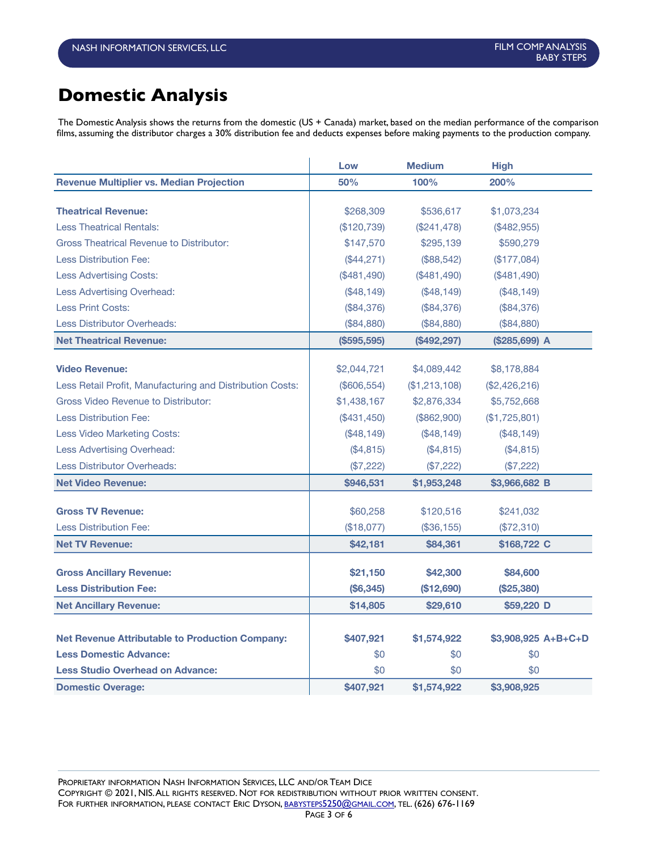# **Domestic Analysis**

The Domestic Analysis shows the returns from the domestic (US + Canada) market, based on the median performance of the comparison films, assuming the distributor charges a 30% distribution fee and deducts expenses before making payments to the production company.

|                                                           | Low         | <b>Medium</b> | <b>High</b>         |
|-----------------------------------------------------------|-------------|---------------|---------------------|
| <b>Revenue Multiplier vs. Median Projection</b>           | 50%         | 100%          | 200%                |
|                                                           |             |               |                     |
| <b>Theatrical Revenue:</b>                                | \$268,309   | \$536,617     | \$1,073,234         |
| <b>Less Theatrical Rentals:</b>                           | (\$120,739) | (\$241,478)   | (\$482,955)         |
| <b>Gross Theatrical Revenue to Distributor:</b>           | \$147,570   | \$295,139     | \$590,279           |
| <b>Less Distribution Fee:</b>                             | (\$44,271)  | (\$88,542)    | (\$177,084)         |
| <b>Less Advertising Costs:</b>                            | (\$481,490) | (\$481,490)   | (\$481,490)         |
| Less Advertising Overhead:                                | (\$48,149)  | (\$48,149)    | (\$48,149)          |
| <b>Less Print Costs:</b>                                  | (\$84,376)  | (\$84,376)    | (\$84,376)          |
| <b>Less Distributor Overheads:</b>                        | (\$84,880)  | (\$84,880)    | (\$84,880)          |
| <b>Net Theatrical Revenue:</b>                            | (S595, 595) | (\$492,297)   | (\$285,699) A       |
| <b>Video Revenue:</b>                                     | \$2,044,721 | \$4,089,442   | \$8,178,884         |
| Less Retail Profit, Manufacturing and Distribution Costs: | (\$606,554) | (\$1,213,108) | (\$2,426,216)       |
| Gross Video Revenue to Distributor:                       |             |               |                     |
|                                                           | \$1,438,167 | \$2,876,334   | \$5,752,668         |
| <b>Less Distribution Fee:</b>                             | (\$431,450) | (\$862,900)   | (\$1,725,801)       |
| Less Video Marketing Costs:                               | (\$48,149)  | (\$48,149)    | (\$48,149)          |
| <b>Less Advertising Overhead:</b>                         | (\$4,815)   | (\$4,815)     | (\$4,815)           |
| <b>Less Distributor Overheads:</b>                        | (\$7,222)   | (\$7,222)     | (\$7,222)           |
| <b>Net Video Revenue:</b>                                 | \$946,531   | \$1,953,248   | \$3,966,682 B       |
| <b>Gross TV Revenue:</b>                                  | \$60,258    | \$120,516     | \$241,032           |
| <b>Less Distribution Fee:</b>                             | (\$18,077)  | (\$36, 155)   | (\$72,310)          |
| <b>Net TV Revenue:</b>                                    | \$42,181    | \$84,361      | \$168,722 C         |
| <b>Gross Ancillary Revenue:</b>                           | \$21,150    | \$42,300      | \$84,600            |
| <b>Less Distribution Fee:</b>                             | (\$6,345)   | (\$12,690)    | (\$25,380)          |
|                                                           |             |               |                     |
| <b>Net Ancillary Revenue:</b>                             | \$14,805    | \$29,610      | \$59,220 D          |
| <b>Net Revenue Attributable to Production Company:</b>    | \$407,921   | \$1,574,922   | \$3,908,925 A+B+C+D |
| <b>Less Domestic Advance:</b>                             | \$0         | \$0           | \$0                 |
| <b>Less Studio Overhead on Advance:</b>                   | \$0         | \$0           | \$0                 |
| <b>Domestic Overage:</b>                                  | \$407.921   | \$1,574,922   | \$3,908,925         |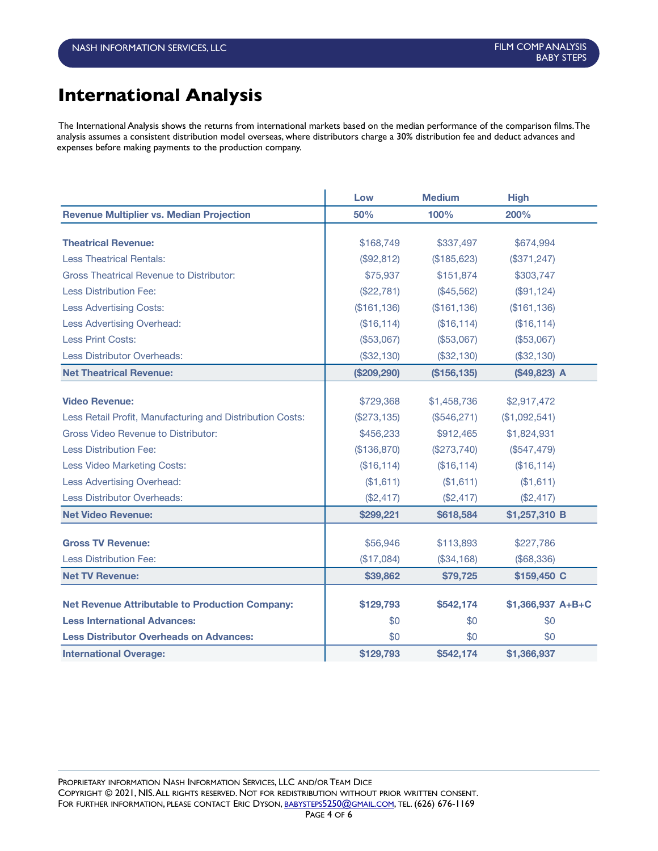### **International Analysis**

The International Analysis shows the returns from international markets based on the median performance of the comparison films. The analysis assumes a consistent distribution model overseas, where distributors charge a 30% distribution fee and deduct advances and expenses before making payments to the production company.

|                                                           | Low            | <b>Medium</b> | <b>High</b>       |
|-----------------------------------------------------------|----------------|---------------|-------------------|
| <b>Revenue Multiplier vs. Median Projection</b>           | 50%            | 100%          | 200%              |
| <b>Theatrical Revenue:</b>                                | \$168,749      | \$337,497     | \$674,994         |
| <b>Less Theatrical Rentals:</b>                           | (\$92,812)     | (\$185,623)   | (\$371, 247)      |
| <b>Gross Theatrical Revenue to Distributor:</b>           | \$75,937       | \$151,874     | \$303,747         |
| <b>Less Distribution Fee:</b>                             | (\$22,781)     | $(\$45,562)$  | (\$91,124)        |
| <b>Less Advertising Costs:</b>                            | (\$161, 136)   | (\$161, 136)  | (\$161, 136)      |
| <b>Less Advertising Overhead:</b>                         | (\$16, 114)    | (\$16,114)    | (\$16,114)        |
| Less Print Costs:                                         | (\$53,067)     | (\$53,067)    | (\$53,067)        |
| <b>Less Distributor Overheads:</b>                        | (\$32,130)     | (\$32,130)    | (\$32,130)        |
| <b>Net Theatrical Revenue:</b>                            | (\$209,290)    | (\$156, 135)  | $($49,823)$ A     |
|                                                           |                |               |                   |
| <b>Video Revenue:</b>                                     | \$729,368      | \$1,458,736   | \$2,917,472       |
| Less Retail Profit, Manufacturing and Distribution Costs: | $(\$273, 135)$ | (\$546,271)   | (\$1,092,541)     |
| Gross Video Revenue to Distributor:                       | \$456,233      | \$912,465     | \$1,824,931       |
| <b>Less Distribution Fee:</b>                             | (\$136,870)    | (\$273,740)   | (\$547,479)       |
| Less Video Marketing Costs:                               | (\$16, 114)    | (\$16,114)    | (\$16, 114)       |
| <b>Less Advertising Overhead:</b>                         | (\$1,611)      | (\$1,611)     | (\$1,611)         |
| <b>Less Distributor Overheads:</b>                        | (\$2,417)      | (\$2,417)     | (\$2,417)         |
| <b>Net Video Revenue:</b>                                 | \$299,221      | \$618,584     | \$1,257,310 B     |
|                                                           |                |               |                   |
| <b>Gross TV Revenue:</b>                                  | \$56,946       | \$113,893     | \$227,786         |
| <b>Less Distribution Fee:</b>                             | (\$17,084)     | (\$34,168)    | (\$68,336)        |
| <b>Net TV Revenue:</b>                                    | \$39,862       | \$79,725      | \$159,450 C       |
| <b>Net Revenue Attributable to Production Company:</b>    | \$129,793      | \$542,174     | \$1,366,937 A+B+C |
| <b>Less International Advances:</b>                       | \$0            | \$0           | \$0               |
| <b>Less Distributor Overheads on Advances:</b>            | \$0            | \$0           | \$0               |
| <b>International Overage:</b>                             | \$129,793      | \$542,174     | \$1,366,937       |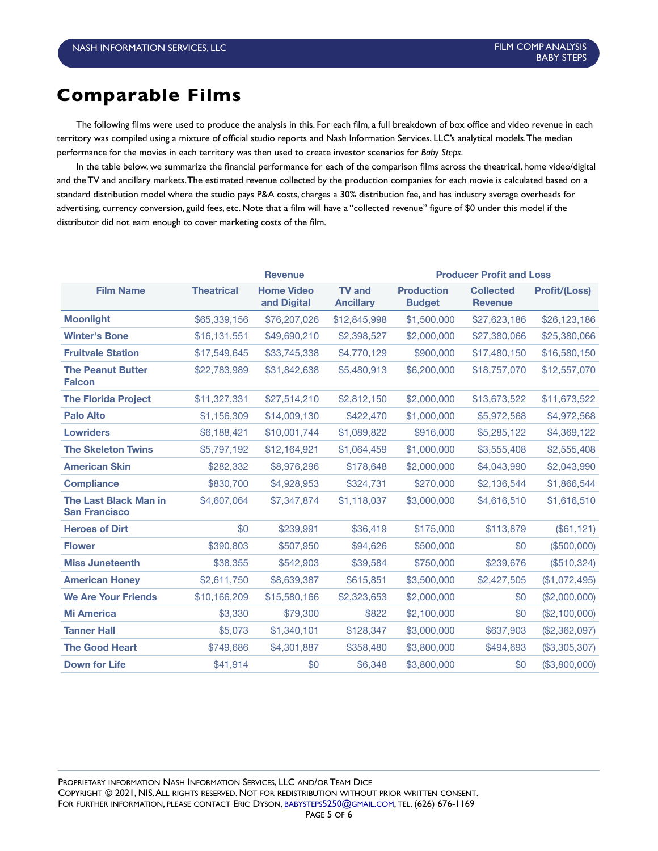## **Comparable Films**

The following films were used to produce the analysis in this. For each film, a full breakdown of box office and video revenue in each territory was compiled using a mixture of official studio reports and Nash Information Services, LLC's analytical models. The median performance for the movies in each territory was then used to create investor scenarios for *Baby Steps*.

In the table below, we summarize the financial performance for each of the comparison films across the theatrical, home video/digital and the TV and ancillary markets. The estimated revenue collected by the production companies for each movie is calculated based on a standard distribution model where the studio pays P&A costs, charges a 30% distribution fee, and has industry average overheads for advertising, currency conversion, guild fees, etc. Note that a film will have a "collected revenue" figure of \$0 under this model if the distributor did not earn enough to cover marketing costs of the film.

|                                                      | <b>Revenue</b>    |                                  |                                   | <b>Producer Profit and Loss</b>    |                                    |                      |
|------------------------------------------------------|-------------------|----------------------------------|-----------------------------------|------------------------------------|------------------------------------|----------------------|
| <b>Film Name</b>                                     | <b>Theatrical</b> | <b>Home Video</b><br>and Digital | <b>TV and</b><br><b>Ancillary</b> | <b>Production</b><br><b>Budget</b> | <b>Collected</b><br><b>Revenue</b> | <b>Profit/(Loss)</b> |
| <b>Moonlight</b>                                     | \$65,339,156      | \$76,207,026                     | \$12,845,998                      | \$1,500,000                        | \$27,623,186                       | \$26,123,186         |
| <b>Winter's Bone</b>                                 | \$16,131,551      | \$49,690,210                     | \$2,398,527                       | \$2,000,000                        | \$27,380,066                       | \$25,380,066         |
| <b>Fruitvale Station</b>                             | \$17,549,645      | \$33,745,338                     | \$4,770,129                       | \$900,000                          | \$17,480,150                       | \$16,580,150         |
| <b>The Peanut Butter</b><br><b>Falcon</b>            | \$22,783,989      | \$31,842,638                     | \$5,480,913                       | \$6,200,000                        | \$18,757,070                       | \$12,557,070         |
| <b>The Florida Project</b>                           | \$11,327,331      | \$27,514,210                     | \$2,812,150                       | \$2,000,000                        | \$13,673,522                       | \$11,673,522         |
| <b>Palo Alto</b>                                     | \$1,156,309       | \$14,009,130                     | \$422,470                         | \$1,000,000                        | \$5,972,568                        | \$4,972,568          |
| <b>Lowriders</b>                                     | \$6,188,421       | \$10,001,744                     | \$1,089,822                       | \$916,000                          | \$5,285,122                        | \$4,369,122          |
| <b>The Skeleton Twins</b>                            | \$5,797,192       | \$12,164,921                     | \$1,064,459                       | \$1,000,000                        | \$3,555,408                        | \$2,555,408          |
| <b>American Skin</b>                                 | \$282,332         | \$8,976,296                      | \$178,648                         | \$2,000,000                        | \$4,043,990                        | \$2,043,990          |
| <b>Compliance</b>                                    | \$830,700         | \$4,928,953                      | \$324,731                         | \$270,000                          | \$2,136,544                        | \$1,866,544          |
| <b>The Last Black Man in</b><br><b>San Francisco</b> | \$4,607,064       | \$7,347,874                      | \$1,118,037                       | \$3,000,000                        | \$4,616,510                        | \$1,616,510          |
| <b>Heroes of Dirt</b>                                | \$0               | \$239.991                        | \$36,419                          | \$175,000                          | \$113,879                          | (\$61, 121)          |
| <b>Flower</b>                                        | \$390,803         | \$507,950                        | \$94,626                          | \$500,000                          | \$0                                | (\$500,000)          |
| <b>Miss Juneteenth</b>                               | \$38,355          | \$542,903                        | \$39,584                          | \$750,000                          | \$239,676                          | (\$510,324)          |
| <b>American Honey</b>                                | \$2,611,750       | \$8,639,387                      | \$615,851                         | \$3,500,000                        | \$2,427,505                        | (\$1,072,495)        |
| <b>We Are Your Friends</b>                           | \$10,166,209      | \$15,580,166                     | \$2,323,653                       | \$2,000,000                        | \$0                                | (\$2,000,000)        |
| <b>Mi America</b>                                    | \$3,330           | \$79,300                         | \$822                             | \$2,100,000                        | \$0                                | (\$2,100,000)        |
| <b>Tanner Hall</b>                                   | \$5,073           | \$1,340,101                      | \$128,347                         | \$3,000,000                        | \$637,903                          | (\$2,362,097)        |
| <b>The Good Heart</b>                                | \$749,686         | \$4,301,887                      | \$358,480                         | \$3,800,000                        | \$494,693                          | (\$3,305,307)        |
| <b>Down for Life</b>                                 | \$41,914          | \$0                              | \$6,348                           | \$3,800,000                        | \$0                                | (\$3,800,000)        |

PROPRIETARY INFORMATION NASH INFORMATION SERVICES, LLC AND/OR TEAM DICE COPYRIGHT © 2021, NIS. ALL RIGHTS RESERVED. NOT FOR REDISTRIBUTION WITHOUT PRIOR WRITTEN CONSENT. FOR FURTHER INFORMATION, PLEASE CONTACT ERIC DYSON, [BABYSTEPS5250@GMAIL.COM,](mailto:babysteps5250@gmail.com) TEL. (626) 676-1169 PAGE 5 OF 6